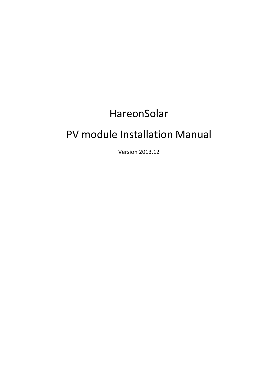# HareonSolar

# PV module Installation Manual

Version 2013.12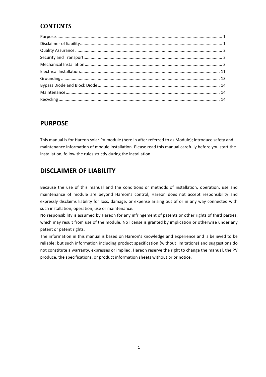### **CONTENTS**

### **PURPOSE**

This manual is for Hareon solar PV module (here in after referred to as Module); introduce safety and maintenance information of module installation. Please read this manual carefully before you start the installation, follow the rules strictly during the installation.

## **DISCLAIMER OF LIABILITY**

Because the use of this manual and the conditions or methods of installation, operation, use and maintenance of module are beyond Hareon's control, Hareon does not accept responsibility and expressly disclaims liability for loss, damage, or expense arising out of or in any way connected with such installation, operation, use or maintenance.

No responsibility is assumed by Hareon for any infringement of patents or other rights of third parties, which may result from use of the module. No license is granted by implication or otherwise under any patent or patent rights.

The information in this manual is based on Hareon's knowledge and experience and is believed to be reliable; but such information including product specification (without limitations) and suggestions do not constitute a warranty, expresses or implied. Hareon reserve the right to change the manual, the PV produce, the specifications, or product information sheets without prior notice.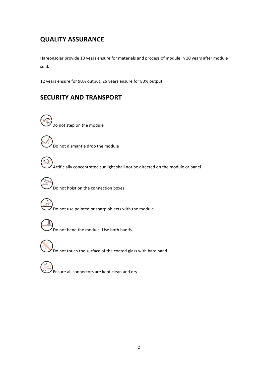## **QUALITY ASSURANCE**

Hareonsolar provide 10 years ensure for materials and process of module in 10 years after module sold.

12 years ensure for 90% output, 25 years ensure for 80% output.

## **SECURITY AND TRANSPORT**

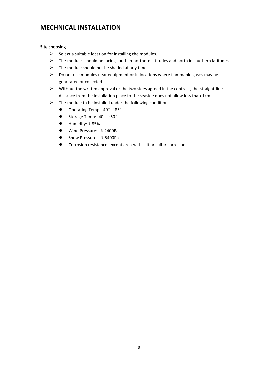### **MECHNICAL INSTALLATION**

#### **Site choosing**

- $\triangleright$  Select a suitable location for installing the modules.
- $\triangleright$  The modules should be facing south in northern latitudes and north in southern latitudes.
- $\triangleright$  The module should not be shaded at any time.
- $\triangleright$  Do not use modules near equipment or in locations where flammable gases may be generated or collected.
- $\triangleright$  Without the written approval or the two sides agreed in the contract, the straight-line distance from the installation place to the seaside does not allow less than 1km.
- $\triangleright$  The module to be installed under the following conditions:
	- Operating Temp: -40° ~85°
	- Storage Temp: -40 $^{\circ}$  ~60 $^{\circ}$
	- $\bullet$  Humidity:  $≤85%$
	- $\bullet$  Wind Pressure:  $\leq$ 2400Pa
	- $\bullet$  Snow Pressure:  $\leq$ 5400Pa
	- **•** Corrosion resistance: except area with salt or sulfur corrosion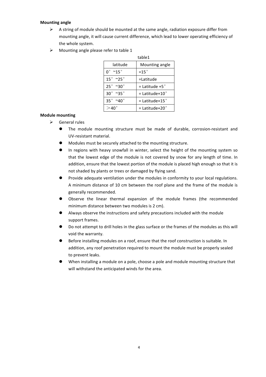#### **Mounting angle**

- $\triangleright$  A string of module should be mounted at the same angle, radiation exposure differ from mounting angle, it will cause current difference, which lead to lower operating efficiency of the whole system.
- $\triangleright$  Mounting angle please refer to table 1

|                            | table1                     |  |  |  |  |  |
|----------------------------|----------------------------|--|--|--|--|--|
| latitude                   | Mounting angle             |  |  |  |  |  |
| $0^{\circ}$ ~15 $^{\circ}$ | $=15$ °                    |  |  |  |  |  |
| $15^\circ$ ~25 $^\circ$    | =Latitude                  |  |  |  |  |  |
| $25^\circ \sim 30^\circ$   | $=$ Latitude +5 $^{\circ}$ |  |  |  |  |  |
| $30^\circ$ ~35 $^\circ$    | $=$ Latitude+10 $^{\circ}$ |  |  |  |  |  |
| $35^\circ$ ~40 $^\circ$    | $=$ Latitude+15 $^{\circ}$ |  |  |  |  |  |
|                            | $=$ Latitude+20 $^{\circ}$ |  |  |  |  |  |

#### **Module mounting**

- $\triangleright$  General rules
	- The module mounting structure must be made of durable, corrosion-resistant and UV-resistant material.
	- Modules must be securely attached to the mounting structure.
	- In regions with heavy snowfall in winter, select the height of the mounting system so that the lowest edge of the module is not covered by snow for any length of time. In addition, ensure that the lowest portion of the module is placed high enough so that it is not shaded by plants or trees or damaged by flying sand.
	- Provide adequate ventilation under the modules in conformity to your local regulations. A minimum distance of 10 cm between the roof plane and the frame of the module is generally recommended.
	- Observe the linear thermal expansion of the module frames (the recommended minimum distance between two modules is 2 cm).
	- Always observe the instructions and safety precautions included with the module support frames.
	- Do not attempt to drill holes in the glass surface or the frames of the modules as this will void the warranty.
	- Before installing modules on a roof, ensure that the roof construction is suitable. In addition, any roof penetration required to mount the module must be properly sealed to prevent leaks.
	- When installing a module on a pole, choose a pole and module mounting structure that will withstand the anticipated winds for the area.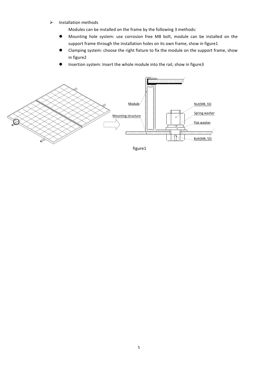$\triangleright$  Installation methods

Modules can be installed on the frame by the following 3 methods:

- **•** Mounting hole system: use corrosion free M8 bolt, module can be installed on the support frame through the installation holes on its own frame, show in figure1
- Clamping system: choose the right fixture to fix the module on the support frame, show in figure2
- Insertion system: Insert the whole module into the rail, show in figure3



figure1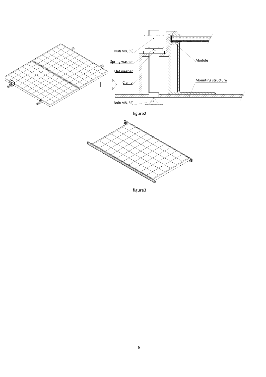

figure3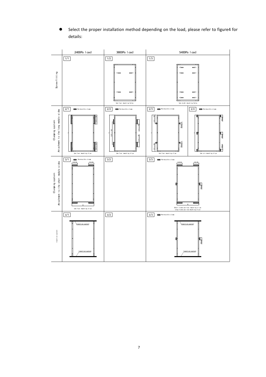Select the proper installation method depending on the load, please refer to figure4 for details:

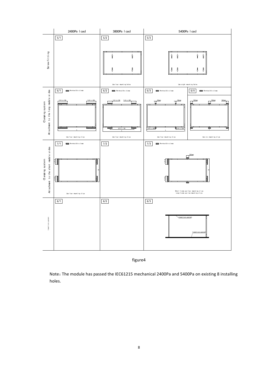

figure4

Note: The module has passed the IEC61215 mechanical 2400Pa and 5400Pa on existing 8 installing holes.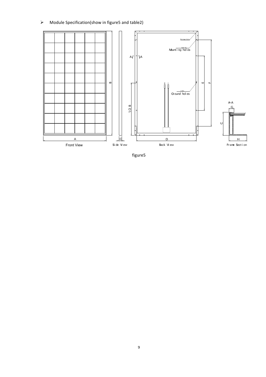### $\triangleright$  Module Specification(show in figure5 and table2)



figure5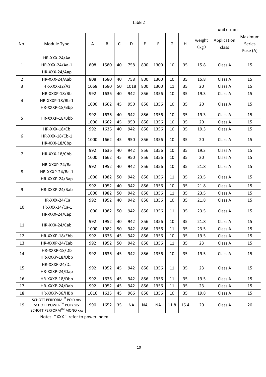#### table2

|                |                                                    |      |      |      |           |           |           |      |      | unit: mm       |                      |          |         |    |
|----------------|----------------------------------------------------|------|------|------|-----------|-----------|-----------|------|------|----------------|----------------------|----------|---------|----|
| No.            | Module Type                                        | Α    | B    | C    | D         | E         | F         | G    | H    | weight<br>(kg) | Application<br>class | Maximum  |         |    |
|                |                                                    |      |      |      |           |           |           |      |      |                |                      | Series   |         |    |
|                |                                                    |      |      |      |           |           |           |      |      |                |                      | Fuse (A) |         |    |
| $\mathbf{1}$   | HR-XXX-24/Aa                                       | 808  | 1580 | 40   | 758       | 800       |           |      |      | 15.8           | Class A              |          |         |    |
|                | HR-XXX-24/Aa-1                                     |      |      |      |           |           | 1300      | 10   | 35   |                |                      | 15       |         |    |
|                | HR-XXX-24/Aap                                      |      |      |      |           |           |           |      |      |                |                      |          |         |    |
| $\overline{2}$ | HR-XXX-24/Aab                                      | 808  | 1580 | 40   | 758       | 800       | 1300      | 10   | 35   | 15.8           | Class A              | 15       |         |    |
| 3              | HR-XXX-32/Az                                       | 1068 | 1580 | 50   | 1018      | 800       | 1300      | 11   | 35   | 20             | Class A              | 15       |         |    |
| 4              | HR-XXXP-18/Bb                                      | 992  | 1636 | 40   | 942       | 856       | 1356      | 10   | 35   | 19.3           | Class A              | 15       |         |    |
|                | HR-XXXP-18/Bb-1                                    | 1000 | 1662 | 45   | 950       | 856       | 1356      | 10   | 35   | 20             | Class A              | 15       |         |    |
|                | HR-XXXP-18/Bbp                                     |      |      |      |           |           |           |      |      |                |                      |          |         |    |
| 5              | HR-XXXP-18/Bbb                                     | 992  | 1636 | 40   | 942       | 856       | 1356      | 10   | 35   | 19.3           | Class A              | 15       |         |    |
|                |                                                    | 1000 | 1662 | 45   | 950       | 856       | 1356      | 10   | 35   | 20             | Class A              | 15       |         |    |
|                | HR-XXX-18/Cb                                       | 992  | 1636 | 40   | 942       | 856       | 1356      | 10   | 35   | 19.3           | Class A              | 15       |         |    |
| 6              | HR-XXX-18/Cb-1                                     | 1000 | 1662 | 45   | 950       | 856       | 1356      | 10   | 35   | 20             | Class A              | 15       |         |    |
|                | HR-XXX-18/Cbp                                      |      |      |      |           |           |           |      |      |                |                      |          |         |    |
| $\overline{7}$ | 992<br>HR-XXX-18/Cbb                               |      | 1636 | 40   | 942       | 856       | 1356      | 10   | 35   | 19.3           | Class A              | 15       |         |    |
|                |                                                    | 1000 | 1662 | 45   | 950       | 856       | 1356      | 10   | 35   | 20             | Class A              | 15       |         |    |
| 8              | HR-XXXP-24/Ba                                      | 992  | 1952 | 40   | 942       | 856       | 1356      | 10   | 35   | 21.8           | Class A              | 15       |         |    |
|                | HR-XXXP-24/Ba-1                                    |      |      |      |           |           |           |      |      |                |                      |          |         |    |
|                | HR-XXXP-24/Bap                                     | 1000 | 1982 | 50   | 942       | 856       | 1356      | 11   | 35   | 23.5           | Class A              | 15       |         |    |
| 9              | HR-XXXP-24/Bab                                     | 992  | 1952 | 40   | 942       | 856       | 1356      | 10   | 35   | 21.8           | Class A              | 15       |         |    |
|                |                                                    | 1000 | 1982 | 50   | 942       | 856       | 1356      | 11   | 35   | 23.5           | Class A              | 15       |         |    |
|                | HR-XXX-24/Ca                                       | 992  | 1952 | 40   | 942       | 856       | 1356      | 10   | 35   | 21.8           | Class A              | 15       |         |    |
| 10             | HR-XXX-24/Ca-1                                     | 1000 | 1982 | 50   | 942       | 856       | 1356      | 11   | 35   | 23.5           | Class A              | 15       |         |    |
|                | HR-XXX-24/Cap                                      |      |      |      |           |           |           |      |      |                |                      |          |         |    |
| 11             | HR-XXX-24/Cab                                      | 992  | 1952 | 40   | 942       | 856       | 1356      | 10   | 35   | 21.8           | Class A              | 15       |         |    |
|                |                                                    | 1000 | 1982 | 50   | 942       | 856       | 1356      | 11   | 35   | 23.5           | Class A              | 15       |         |    |
| 12             | HR-XXXP-18/Ebb                                     | 992  | 1636 | 45   | 942       | 856       | 1356      | 10   | 35   | 19.5           | Class A              | 15       |         |    |
| 13             | HR-XXXP-24/Eab                                     | 992  | 1952 | 50   | 942       | 856       | 1356      | 11   | 35   | 23             | Class A              | 15       |         |    |
| 14             | HR-XXXP-18/Db                                      | 992  |      |      | 1636      | 45        | 942       | 856  | 1356 | 10             | 35                   | 19.5     | Class A | 15 |
|                | HR-XXXP-18/Dbp                                     |      |      |      |           |           |           |      |      |                |                      |          |         |    |
| 15             | HR-XXXP-24/Da                                      | 992  |      | 1952 | 45        | 942       | 856       | 1356 | 11   | 35             | 23                   | Class A  | 15      |    |
|                | HR-XXXP-24/Dap                                     |      |      |      |           |           |           |      |      |                |                      |          |         |    |
| 16             | HR-XXXP-18/Dbb                                     | 992  | 1636 | 45   | 942       | 856       | 1356      | 11   | 35   | 19.5           | Class A              | 15       |         |    |
| 17             | HR-XXXP-24/Dab                                     | 992  | 1952 | 45   | 942       | 856       | 1356      | 11   | 35   | 23             | Class A              | 15       |         |    |
| 18             | HR-XXXP-36/HBb                                     | 1016 | 1625 | 45   | 966       | 856       | 1356      | 10   | 35   | 19.8           | Class A              | 15       |         |    |
| 19             | SCHOTT PERFORM™ POLY xxx<br>SCHOTT POWER™ POLY xxx | 990  | 1652 | 35   | <b>NA</b> | <b>NA</b> | <b>NA</b> | 11.8 | 16.4 | 20             | Class A              | 20       |         |    |
|                | SCHOTT PERFORM™ MONO xxx                           |      |      |      |           |           |           |      |      |                |                      |          |         |    |

Note: "XXX" refer to power index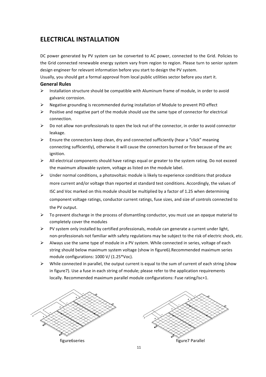### **ELECTRICAL INSTALLATION**

DC power generated by PV system can be converted to AC power, connected to the Grid. Policies to the Grid connected renewable energy system vary from region to region. Please turn to senior system design engineer for relevant information before you start to design the PV system.

Usually, you should get a formal approval from local public utilities sector before you start it. **General Rules**

- $\triangleright$  Installation structure should be compatible with Aluminum frame of module, in order to avoid galvanic corrosion.
- $\triangleright$  Negative grounding is recommended during installation of Module to prevent PID effect
- $\triangleright$  Positive and negative part of the module should use the same type of connector for electrical connection.
- $\triangleright$  Do not allow non-professionals to open the lock nut of the connector, in order to avoid connector leakage.
- $\triangleright$  Ensure the connectors keep clean, dry and connected sufficiently (hear a "click" meaning connecting sufficiently), otherwise it will cause the connectors burned or fire because of the arc ignition.
- $\triangleright$  All electrical components should have ratings equal or greater to the system rating. Do not exceed the maximum allowable system, voltage as listed on the module label.
- $\triangleright$  Under normal conditions, a photovoltaic module is likely to experience conditions that produce more current and/or voltage than reported at standard test conditions. Accordingly, the values of ISC and Voc marked on this module should be multiplied by a factor of 1.25 when determining component voltage ratings, conductor current ratings, fuse sizes, and size of controls connected to the PV output.
- $\triangleright$  To prevent discharge in the process of dismantling conductor, you must use an opaque material to completely cover the modules
- $\triangleright$  PV system only installed by certified professionals, module can generate a current under light, non-professionals not familiar with safety regulations may be subject to the risk of electric shock, etc.
- $\triangleright$  Always use the same type of module in a PV system. While connected in series, voltage of each string should below maximum system voltage (show in figure6).Recommended maximum series module configurations: 1000 V/ (1.25\*Voc).
- $\triangleright$  While connected in parallel, the output current is equal to the sum of current of each string (show in figure7). Use a fuse in each string of module; please refer to the application requirements locally. Recommended maximum parallel module configurations: Fuse rating/Isc+1.

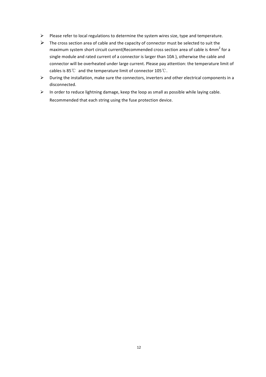- $\triangleright$  Please refer to local regulations to determine the system wires size, type and temperature.
- $\triangleright$  The cross section area of cable and the capacity of connector must be selected to suit the maximum system short circuit current(Recommended cross section area of cable is 4mm<sup>2</sup> for a single module and rated current of a connector is larger than 10A ), otherwise the cable and connector will be overheated under large current. Please pay attention: the temperature limit of cables is  $85^{\circ}$  and the temperature limit of connector  $105^{\circ}$ C.
- $\triangleright$  During the installation, make sure the connectors, inverters and other electrical components in a disconnected.
- $\triangleright$  In order to reduce lightning damage, keep the loop as small as possible while laying cable. Recommended that each string using the fuse protection device.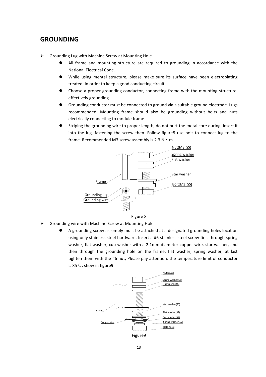### **GROUNDING**

- $\triangleright$  Grounding Lug with Machine Screw at Mounting Hole
	- All frame and mounting structure are required to grounding In accordance with the National Electrical Code.
	- While using mental structure, please make sure its surface have been electroplating treated, in order to keep a good conducting circuit.
	- Choose a proper grounding conductor, connecting frame with the mounting structure, effectively grounding.
	- Grounding conductor must be connected to ground via a suitable ground electrode. Lugs recommended. Mounting frame should also be grounding without bolts and nuts electrically connecting to module frame.
	- Striping the grounding wire to proper length, do not hurt the metal core during; insert it into the lug, fastening the screw then. Follow figure8 use bolt to connect lug to the frame. Recommended M3 screw assembly is  $2.3 N \cdot m$ .





- $\triangleright$  Grounding wire with Machine Screw at Mounting Hole
	- A grounding screw assembly must be attached at a designated grounding holes location using only stainless steel hardware. Insert a #6 stainless steel screw first through spring washer, flat washer, cup washer with a 2.1mm diameter copper wire, star washer, and then through the grounding hole on the frame, flat washer, spring washer, at last tighten them with the #6 nut, Please pay attention: the temperature limit of conductor is 85℃, show in figure9.

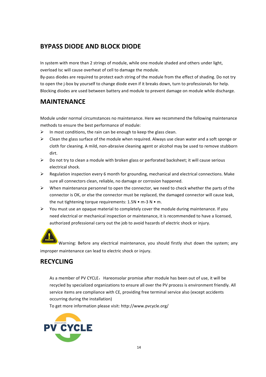### **BYPASS DIODE AND BLOCK DIODE**

In system with more than 2 strings of module, while one module shaded and others under light, overload Isc will cause overheat of cell to damage the module.

By-pass diodes are required to protect each string of the module from the effect of shading. Do not try to open the j-box by yourself to change diode even if it breaks down, turn to professionals for help. Blocking diodes are used between battery and module to prevent damage on module while discharge.

### **MAINTENANCE**

Module under normal circumstances no maintenance. Here we recommend the following maintenance methods to ensure the best performance of module:

- $\triangleright$  In most conditions, the rain can be enough to keep the glass clean.
- $\triangleright$  Clean the glass surface of the module when required. Always use clean water and a soft sponge or cloth for cleaning. A mild, non-abrasive cleaning agent or alcohol may be used to remove stubborn dirt.
- $\triangleright$  Do not try to clean a module with broken glass or perforated backsheet; it will cause serious electrical shock.
- $\triangleright$  Regulation inspection every 6 month for grounding, mechanical and electrical connections. Make sure all connectors clean, reliable, no damage or corrosion happened.
- $\triangleright$  When maintenance personnel to open the connector, we need to check whether the parts of the connector is OK, or else the connector must be replaced, the damaged connector will cause leak, the nut tightening torque requirements:  $1.5N \cdot m-3N \cdot m$ .
- $\triangleright$  You must use an opaque material to completely cover the module during maintenance. If you need electrical or mechanical inspection or maintenance, it is recommended to have a licensed, authorized professional carry out the job to avoid hazards of electric shock or injury.



Warning: Before any electrical maintenance, you should firstly shut down the system; any improper maintenance can lead to electric shock or injury.

## **RECYCLING**

As a member of PV CYCLE, Hareonsolar promise after module has been out of use, it will be recycled by specialized organizations to ensure all over the PV process is environment friendly. All service items are compliance with CE, providing free terminal service also (except accidents occurring during the installation)

To get more information please visit: http://www.pvcycle.org/